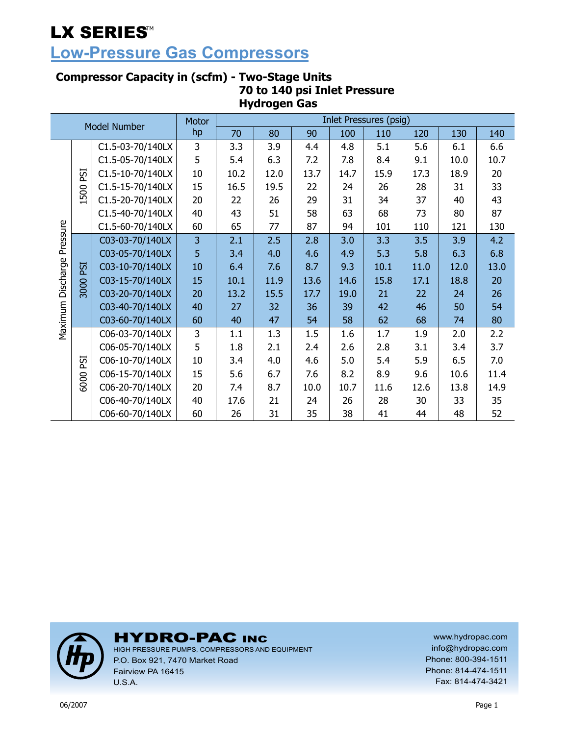## **Low-Pressure Gas Compressors**

#### **Compressor Capacity in (scfm) - Two-Stage Units 70 to 140 psi Inlet Pressure Hydrogen Gas**

| <b>Model Number</b> |      | <b>Motor</b>     |    |      |      |      | <b>Inlet Pressures (psig)</b> |      |      |      |      |
|---------------------|------|------------------|----|------|------|------|-------------------------------|------|------|------|------|
|                     |      |                  | hp | 70   | 80   | 90   | 100                           | 110  | 120  | 130  | 140  |
|                     |      | C1.5-03-70/140LX | 3  | 3.3  | 3.9  | 4.4  | 4.8                           | 5.1  | 5.6  | 6.1  | 6.6  |
|                     | ESI  | C1.5-05-70/140LX | 5  | 5.4  | 6.3  | 7.2  | 7.8                           | 8.4  | 9.1  | 10.0 | 10.7 |
|                     |      | C1.5-10-70/140LX | 10 | 10.2 | 12.0 | 13.7 | 14.7                          | 15.9 | 17.3 | 18.9 | 20   |
|                     | 500  | C1.5-15-70/140LX | 15 | 16.5 | 19.5 | 22   | 24                            | 26   | 28   | 31   | 33   |
|                     |      | C1.5-20-70/140LX | 20 | 22   | 26   | 29   | 31                            | 34   | 37   | 40   | 43   |
|                     |      | C1.5-40-70/140LX | 40 | 43   | 51   | 58   | 63                            | 68   | 73   | 80   | 87   |
|                     |      | C1.5-60-70/140LX | 60 | 65   | 77   | 87   | 94                            | 101  | 110  | 121  | 130  |
| Pressure            |      | C03-03-70/140LX  | 3  | 2.1  | 2.5  | 2.8  | 3.0                           | 3.3  | 3.5  | 3.9  | 4.2  |
|                     |      | C03-05-70/140LX  | 5  | 3.4  | 4.0  | 4.6  | 4.9                           | 5.3  | 5.8  | 6.3  | 6.8  |
|                     | ESI  | C03-10-70/140LX  | 10 | 6.4  | 7.6  | 8.7  | 9.3                           | 10.1 | 11.0 | 12.0 | 13.0 |
| Discharge           |      | C03-15-70/140LX  | 15 | 10.1 | 11.9 | 13.6 | 14.6                          | 15.8 | 17.1 | 18.8 | 20   |
|                     | 3000 | C03-20-70/140LX  | 20 | 13.2 | 15.5 | 17.7 | 19.0                          | 21   | 22   | 24   | 26   |
|                     |      | C03-40-70/140LX  | 40 | 27   | 32   | 36   | 39                            | 42   | 46   | 50   | 54   |
| Maximum             |      | C03-60-70/140LX  | 60 | 40   | 47   | 54   | 58                            | 62   | 68   | 74   | 80   |
|                     |      | C06-03-70/140LX  | 3  | 1.1  | 1.3  | 1.5  | 1.6                           | 1.7  | 1.9  | 2.0  | 2.2  |
|                     |      | C06-05-70/140LX  | 5  | 1.8  | 2.1  | 2.4  | 2.6                           | 2.8  | 3.1  | 3.4  | 3.7  |
|                     | ESI  | C06-10-70/140LX  | 10 | 3.4  | 4.0  | 4.6  | 5.0                           | 5.4  | 5.9  | 6.5  | 7.0  |
|                     | 6000 | C06-15-70/140LX  | 15 | 5.6  | 6.7  | 7.6  | 8.2                           | 8.9  | 9.6  | 10.6 | 11.4 |
|                     |      | C06-20-70/140LX  | 20 | 7.4  | 8.7  | 10.0 | 10.7                          | 11.6 | 12.6 | 13.8 | 14.9 |
|                     |      | C06-40-70/140LX  | 40 | 17.6 | 21   | 24   | 26                            | 28   | 30   | 33   | 35   |
|                     |      | C06-60-70/140LX  | 60 | 26   | 31   | 35   | 38                            | 41   | 44   | 48   | 52   |



### **HYDRO-PAC INC**

HIGH PRESSURE PUMPS, COMPRESSORS AND EQUIPMENT P.O. Box 921, 7470 Market Road Fairview PA 16415 U.S.A.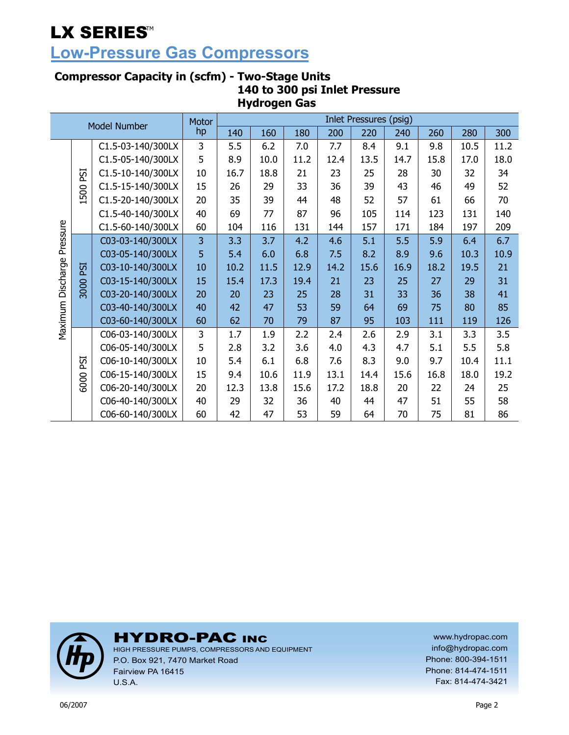## **Low-Pressure Gas Compressors**

#### **Compressor Capacity in (scfm) - Two-Stage Units 140 to 300 psi Inlet Pressure Hydrogen Gas**

|                   |      |                     | <b>Motor</b> | <b>Inlet Pressures (psig)</b> |      |      |      |      |      |      |      |      |  |
|-------------------|------|---------------------|--------------|-------------------------------|------|------|------|------|------|------|------|------|--|
|                   |      | <b>Model Number</b> | hp           | 140                           | 160  | 180  | 200  | 220  | 240  | 260  | 280  | 300  |  |
|                   |      | C1.5-03-140/300LX   | 3            | 5.5                           | 6.2  | 7.0  | 7.7  | 8.4  | 9.1  | 9.8  | 10.5 | 11.2 |  |
|                   |      | C1.5-05-140/300LX   | 5            | 8.9                           | 10.0 | 11.2 | 12.4 | 13.5 | 14.7 | 15.8 | 17.0 | 18.0 |  |
|                   | ESI  | C1.5-10-140/300LX   | 10           | 16.7                          | 18.8 | 21   | 23   | 25   | 28   | 30   | 32   | 34   |  |
|                   | 500  | C1.5-15-140/300LX   | 15           | 26                            | 29   | 33   | 36   | 39   | 43   | 46   | 49   | 52   |  |
|                   |      | C1.5-20-140/300LX   | 20           | 35                            | 39   | 44   | 48   | 52   | 57   | 61   | 66   | 70   |  |
|                   |      | C1.5-40-140/300LX   | 40           | 69                            | 77   | 87   | 96   | 105  | 114  | 123  | 131  | 140  |  |
|                   |      | C1.5-60-140/300LX   | 60           | 104                           | 116  | 131  | 144  | 157  | 171  | 184  | 197  | 209  |  |
| Pressure          |      | C03-03-140/300LX    | 3            | 3.3                           | 3.7  | 4.2  | 4.6  | 5.1  | 5.5  | 5.9  | 6.4  | 6.7  |  |
|                   | ESI  | C03-05-140/300LX    | 5            | 5.4                           | 6.0  | 6.8  | 7.5  | 8.2  | 8.9  | 9.6  | 10.3 | 10.9 |  |
|                   |      | C03-10-140/300LX    | 10           | 10.2                          | 11.5 | 12.9 | 14.2 | 15.6 | 16.9 | 18.2 | 19.5 | 21   |  |
|                   |      | C03-15-140/300LX    | 15           | 15.4                          | 17.3 | 19.4 | 21   | 23   | 25   | 27   | 29   | 31   |  |
|                   | 3000 | C03-20-140/300LX    | 20           | 20                            | 23   | 25   | 28   | 31   | 33   | 36   | 38   | 41   |  |
|                   |      | C03-40-140/300LX    | 40           | 42                            | 47   | 53   | 59   | 64   | 69   | 75   | 80   | 85   |  |
| Maximum Discharge |      | C03-60-140/300LX    | 60           | 62                            | 70   | 79   | 87   | 95   | 103  | 111  | 119  | 126  |  |
|                   |      | C06-03-140/300LX    | 3            | 1.7                           | 1.9  | 2.2  | 2.4  | 2.6  | 2.9  | 3.1  | 3.3  | 3.5  |  |
|                   |      | C06-05-140/300LX    | 5            | 2.8                           | 3.2  | 3.6  | 4.0  | 4.3  | 4.7  | 5.1  | 5.5  | 5.8  |  |
|                   | ESI  | C06-10-140/300LX    | 10           | 5.4                           | 6.1  | 6.8  | 7.6  | 8.3  | 9.0  | 9.7  | 10.4 | 11.1 |  |
|                   | 6000 | C06-15-140/300LX    | 15           | 9.4                           | 10.6 | 11.9 | 13.1 | 14.4 | 15.6 | 16.8 | 18.0 | 19.2 |  |
|                   |      | C06-20-140/300LX    | 20           | 12.3                          | 13.8 | 15.6 | 17.2 | 18.8 | 20   | 22   | 24   | 25   |  |
|                   |      | C06-40-140/300LX    | 40           | 29                            | 32   | 36   | 40   | 44   | 47   | 51   | 55   | 58   |  |
|                   |      | C06-60-140/300LX    | 60           | 42                            | 47   | 53   | 59   | 64   | 70   | 75   | 81   | 86   |  |



### **HYDRO-PAC INC**

HIGH PRESSURE PUMPS, COMPRESSORS AND EQUIPMENT P.O. Box 921, 7470 Market Road Fairview PA 16415 U.S.A.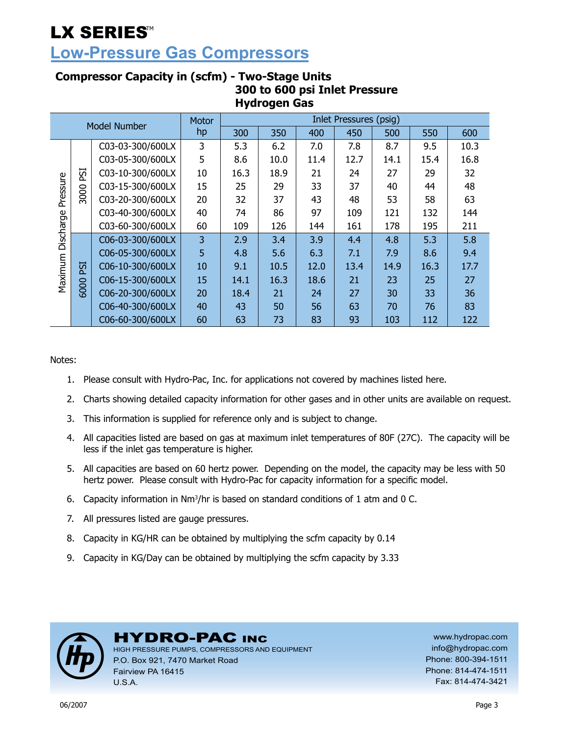### **Low-Pressure Gas Compressors**

|           | nyurvych vas |                     |       |      |                        |      |      |      |      |      |  |  |  |  |
|-----------|--------------|---------------------|-------|------|------------------------|------|------|------|------|------|--|--|--|--|
|           |              | <b>Model Number</b> | Motor |      | Inlet Pressures (psig) |      |      |      |      |      |  |  |  |  |
|           |              |                     | hp    | 300  | 350                    | 400  | 450  | 500  | 550  | 600  |  |  |  |  |
|           |              | C03-03-300/600LX    | 3     | 5.3  | 6.2                    | 7.0  | 7.8  | 8.7  | 9.5  | 10.3 |  |  |  |  |
|           |              | C03-05-300/600LX    | 5     | 8.6  | 10.0                   | 11.4 | 12.7 | 14.1 | 15.4 | 16.8 |  |  |  |  |
|           | ESI          | C03-10-300/600LX    | 10    | 16.3 | 18.9                   | 21   | 24   | 27   | 29   | 32   |  |  |  |  |
|           |              | C03-15-300/600LX    | 15    | 25   | 29                     | 33   | 37   | 40   | 44   | 48   |  |  |  |  |
| Pressure  | 3000         | C03-20-300/600LX    | 20    | 32   | 37                     | 43   | 48   | 53   | 58   | 63   |  |  |  |  |
|           |              | C03-40-300/600LX    | 40    | 74   | 86                     | 97   | 109  | 121  | 132  | 144  |  |  |  |  |
|           |              | C03-60-300/600LX    | 60    | 109  | 126                    | 144  | 161  | 178  | 195  | 211  |  |  |  |  |
| Discharge |              | C06-03-300/600LX    | 3     | 2.9  | 3.4                    | 3.9  | 4.4  | 4.8  | 5.3  | 5.8  |  |  |  |  |
|           |              | C06-05-300/600LX    | 5     | 4.8  | 5.6                    | 6.3  | 7.1  | 7.9  | 8.6  | 9.4  |  |  |  |  |
| Maximum   | <b>ISI</b>   | C06-10-300/600LX    | 10    | 9.1  | 10.5                   | 12.0 | 13.4 | 14.9 | 16.3 | 17.7 |  |  |  |  |
|           |              | C06-15-300/600LX    | 15    | 14.1 | 16.3                   | 18.6 | 21   | 23   | 25   | 27   |  |  |  |  |
|           | 6000         | C06-20-300/600LX    | 20    | 18.4 | 21                     | 24   | 27   | 30   | 33   | 36   |  |  |  |  |
|           |              | C06-40-300/600LX    | 40    | 43   | 50                     | 56   | 63   | 70   | 76   | 83   |  |  |  |  |
|           |              | C06-60-300/600LX    | 60    | 63   | 73                     | 83   | 93   | 103  | 112  | 122  |  |  |  |  |

#### **Compressor Capacity in (scfm) - Two-Stage Units 300 to 600 psi Inlet Pressure Hydrogen Gas**

Notes:

- 1. Please consult with Hydro-Pac, Inc. for applications not covered by machines listed here.
- 2. Charts showing detailed capacity information for other gases and in other units are available on request.
- 3. This information is supplied for reference only and is subject to change.
- 4. All capacities listed are based on gas at maximum inlet temperatures of 80F (27C). The capacity will be less if the inlet gas temperature is higher.
- 5. All capacities are based on 60 hertz power. Depending on the model, the capacity may be less with 50 hertz power. Please consult with Hydro-Pac for capacity information for a specific model.
- 6. Capacity information in  $Nm^3/hr$  is based on standard conditions of 1 atm and 0 C.
- 7. All pressures listed are gauge pressures.
- 8. Capacity in KG/HR can be obtained by multiplying the scfm capacity by 0.14
- 9. Capacity in KG/Day can be obtained by multiplying the scfm capacity by 3.33



#### **HYDRO-PAC INC**

HIGH PRESSURE PUMPS, COMPRESSORS AND EQUIPMENT P.O. Box 921, 7470 Market Road Fairview PA 16415 U.S.A.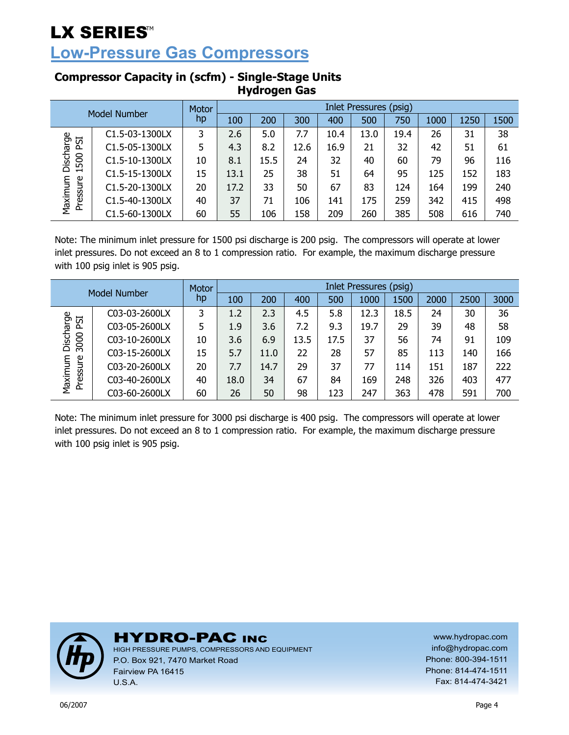**Low-Pressure Gas Compressors** 

| Model Number        |                | Motor | <b>Inlet Pressures (psig)</b> |      |      |      |      |      |      |      |      |  |  |
|---------------------|----------------|-------|-------------------------------|------|------|------|------|------|------|------|------|--|--|
|                     |                | hp    | 100                           | 200  | 300  | 400  | 500  | 750  | 1000 | 1250 | 1500 |  |  |
|                     | C1.5-03-1300LX | 3     | 2.6                           | 5.0  | 7.7  | 10.4 | 13.0 | 19.4 | 26   | 31   | 38   |  |  |
| ESI                 | C1.5-05-1300LX | 5     | 4.3                           | 8.2  | 12.6 | 16.9 | 21   | 32   | 42   | 51   | 61   |  |  |
| Discharge<br>1500   | C1.5-10-1300LX | 10    | 8.1                           | 15.5 | 24   | 32   | 40   | 60   | 79   | 96   | 116  |  |  |
|                     | C1.5-15-1300LX | 15    | 13.1                          | 25   | 38   | 51   | 64   | 95   | 125  | 152  | 183  |  |  |
| Maximum<br>Pressure | C1.5-20-1300LX | 20    | 17.2                          | 33   | 50   | 67   | 83   | 124  | 164  | 199  | 240  |  |  |
|                     | C1.5-40-1300LX | 40    | 37                            | 71   | 106  | 141  | 175  | 259  | 342  | 415  | 498  |  |  |
|                     | C1.5-60-1300LX | 60    | 55                            | 106  | 158  | 209  | 260  | 385  | 508  | 616  | 740  |  |  |

#### **Compressor Capacity in (scfm) - Single-Stage Units Hydrogen Gas**

Note: The minimum inlet pressure for 1500 psi discharge is 200 psig. The compressors will operate at lower inlet pressures. Do not exceed an 8 to 1 compression ratio. For example, the maximum discharge pressure with 100 psig inlet is 905 psig.

| Model Number        |               | Motor | Inlet Pressures (psig) |      |      |      |      |      |      |      |      |  |
|---------------------|---------------|-------|------------------------|------|------|------|------|------|------|------|------|--|
|                     |               | hp    | 100                    | 200  | 400  | 500  | 1000 | 1500 | 2000 | 2500 | 3000 |  |
|                     | C03-03-2600LX | 3     | 1.2                    | 2.3  | 4.5  | 5.8  | 12.3 | 18.5 | 24   | 30   | 36   |  |
| ESI                 | C03-05-2600LX | 5     | 1.9                    | 3.6  | 7.2  | 9.3  | 19.7 | 29   | 39   | 48   | 58   |  |
| Discharge<br>3000   | C03-10-2600LX | 10    | 3.6                    | 6.9  | 13.5 | 17.5 | 37   | 56   | 74   | 91   | 109  |  |
|                     | C03-15-2600LX | 15    | 5.7                    | 11.0 | 22   | 28   | 57   | 85   | 113  | 140  | 166  |  |
| Maximum<br>Pressure | C03-20-2600LX | 20    | 7.7                    | 14.7 | 29   | 37   | 77   | 114  | 151  | 187  | 222  |  |
|                     | C03-40-2600LX | 40    | 18.0                   | 34   | 67   | 84   | 169  | 248  | 326  | 403  | 477  |  |
|                     | C03-60-2600LX | 60    | 26                     | 50   | 98   | 123  | 247  | 363  | 478  | 591  | 700  |  |

Note: The minimum inlet pressure for 3000 psi discharge is 400 psig. The compressors will operate at lower inlet pressures. Do not exceed an 8 to 1 compression ratio. For example, the maximum discharge pressure with 100 psig inlet is 905 psig.



**HYDRO-PAC INC** 

HIGH PRESSURE PUMPS, COMPRESSORS AND EQUIPMENT P.O. Box 921, 7470 Market Road Fairview PA 16415 U.S.A.